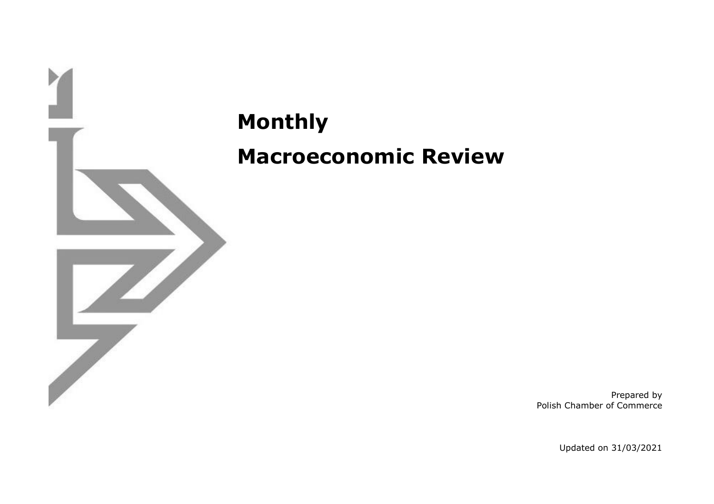

**Monthly Macroeconomic Review**

> Prepared by Polish Chamber of Commerce

> > Updated on 31/03/2021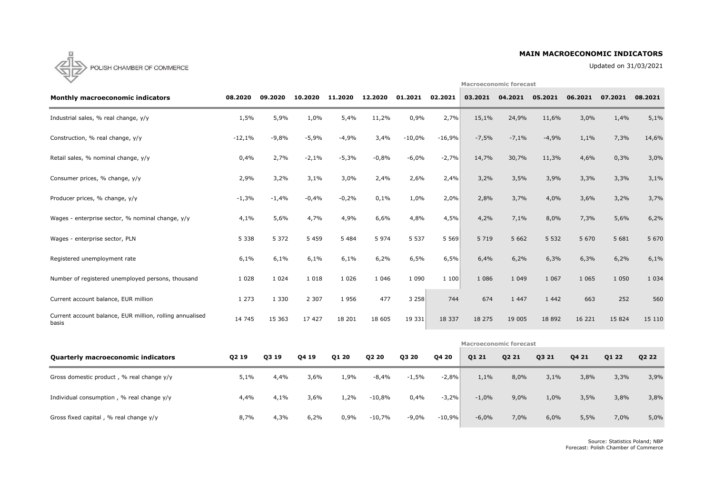# **MAIN MACROECONOMIC INDICATORS**

Updated on 31/03/2021

**Macroeconomic forecast**



| <b>Monthly macroeconomic indicators</b>                           | 08.2020  | 09.2020 | 10.2020 | 11.2020 | 12.2020 | 01.2021  | 02.2021  | 03.2021                       | 04.2021 | 05.2021  | 06.2021 | 07.2021 | 08.2021 |
|-------------------------------------------------------------------|----------|---------|---------|---------|---------|----------|----------|-------------------------------|---------|----------|---------|---------|---------|
| Industrial sales, % real change, y/y                              | 1,5%     | 5,9%    | 1,0%    | 5,4%    | 11,2%   | 0,9%     | 2,7%     | 15,1%                         | 24,9%   | 11,6%    | 3,0%    | 1,4%    | 5,1%    |
| Construction, % real change, y/y                                  | $-12,1%$ | $-9,8%$ | $-5,9%$ | $-4,9%$ | 3,4%    | $-10,0%$ | $-16,9%$ | $-7,5%$                       | $-7,1%$ | $-4,9%$  | 1,1%    | 7,3%    | 14,6%   |
| Retail sales, % nominal change, y/y                               | 0,4%     | 2,7%    | $-2,1%$ | $-5,3%$ | $-0,8%$ | $-6,0%$  | $-2,7%$  | 14,7%                         | 30,7%   | 11,3%    | 4,6%    | 0,3%    | 3,0%    |
| Consumer prices, % change, y/y                                    | 2,9%     | 3,2%    | 3,1%    | 3,0%    | 2,4%    | 2,6%     | 2,4%     | 3,2%                          | 3,5%    | 3,9%     | 3,3%    | 3,3%    | 3,1%    |
| Producer prices, % change, y/y                                    | $-1,3%$  | $-1,4%$ | $-0,4%$ | $-0,2%$ | 0,1%    | 1,0%     | 2,0%     | 2,8%                          | 3,7%    | 4,0%     | 3,6%    | 3,2%    | 3,7%    |
| Wages - enterprise sector, % nominal change, y/y                  | 4,1%     | 5,6%    | 4,7%    | 4,9%    | 6,6%    | 4,8%     | 4,5%     | 4,2%                          | 7,1%    | 8,0%     | 7,3%    | 5,6%    | 6,2%    |
| Wages - enterprise sector, PLN                                    | 5 3 3 8  | 5 3 7 2 | 5 4 5 9 | 5 4 8 4 | 5 9 7 4 | 5 5 3 7  | 5569     | 5 7 1 9                       | 5 6 6 2 | 5 5 3 2  | 5 6 7 0 | 5 6 8 1 | 5 6 7 0 |
| Registered unemployment rate                                      | 6,1%     | 6,1%    | 6,1%    | 6,1%    | 6,2%    | 6,5%     | 6,5%     | 6,4%                          | 6,2%    | 6,3%     | 6,3%    | 6,2%    | 6,1%    |
| Number of registered unemployed persons, thousand                 | 1 0 2 8  | 1 0 2 4 | 1 0 1 8 | 1 0 2 6 | 1 0 4 6 | 1 0 9 0  | 1100     | 1 0 8 6                       | 1 0 4 9 | 1 0 6 7  | 1 0 6 5 | 1 0 5 0 | 1 0 3 4 |
| Current account balance, EUR million                              | 1 2 7 3  | 1 3 3 0 | 2 3 0 7 | 1956    | 477     | 3258     | 744      | 674                           | 1 4 4 7 | 1 4 4 2  | 663     | 252     | 560     |
| Current account balance, EUR million, rolling annualised<br>basis | 14 745   | 15 363  | 17 427  | 18 201  | 18 605  | 19 331   | 18 3 3 7 | 18 275                        | 19 005  | 18 8 9 2 | 16 221  | 15 8 24 | 15 110  |
|                                                                   |          |         |         |         |         |          |          | <b>Macroeconomic forecast</b> |         |          |         |         |         |

| <b>Quarterly macroeconomic indicators</b>   | Q2 19 | Q3 19 | Q4 19 | Q1 20 | Q2 20    | Q3 20   | Q4 20    | Q1 21   | Q2 21 | Q3 21 | Q4 21 | Q1 22 | Q2 22 |
|---------------------------------------------|-------|-------|-------|-------|----------|---------|----------|---------|-------|-------|-------|-------|-------|
| Gross domestic product, % real change y/y   | 5,1%  | 4,4%  | 3,6%  | 1,9%  | $-8,4%$  | $-1,5%$ | $-2,8%$  | 1,1%    | 8,0%  | 3,1%  | 3,8%  | 3,3%  | 3,9%  |
| Individual consumption, % real change $y/y$ | 4,4%  | 4,1%  | 3,6%  | 1,2%  | $-10,8%$ | 0,4%    | $-3,2%$  | $-1,0%$ | 9,0%  | 1,0%  | 3,5%  | 3,8%  | 3,8%  |
| Gross fixed capital, % real change y/y      | 8,7%  | 4,3%  | 6,2%  | 0,9%  | $-10,7%$ | $-9,0%$ | $-10,9%$ | $-6,0%$ | 7,0%  | 6,0%  | 5,5%  | 7,0%  | 5,0%  |

Source: Statistics Poland; NBP Forecast: Polish Chamber of Commerce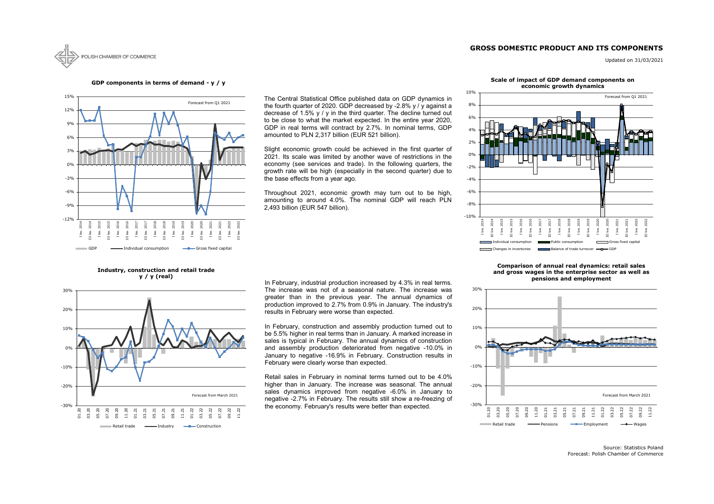# **GROSS DOMESTIC PRODUCT AND ITS COMPONENTS**



Updated on 31/03/2021

Source: Statistics Poland Forecast: Polish Chamber of Commerce



**GDP components in terms of demand - y / y**



**Industry, construction and retail trade y / y (real)**



#### **Scale of impact of GDP demand components on economic growth dynamics**

In February, industrial production increased by 4.3% in real terms. The increase was not of a seasonal nature. The increase was greater than in the previous year. The annual dynamics of production improved to 2.7% from 0.9% in January. The industry's results in February were worse than expected.



#### **Comparison of annual real dynamics: retail sales and gross wages in the enterprise sector as well as pensions and employment**

The Central Statistical Office published data on GDP dynamics in the fourth quarter of 2020. GDP decreased by -2.8% y / y against a decrease of 1.5% y / y in the third quarter. The decline turned out to be close to what the market expected. In the entire year 2020, GDP in real terms will contract by 2.7%. In nominal terms, GDP amounted to PLN 2,317 billion (EUR 521 billion).

Slight economic growth could be achieved in the first quarter of 2021. Its scale was limited by another wave of restrictions in the economy (see services and trade). In the following quarters, the growth rate will be high (especially in the second quarter) due to the base effects from a year ago.

Throughout 2021, economic growth may turn out to be high, amounting to around 4.0%. The nominal GDP will reach PLN 2,493 billion (EUR 547 billion).

In February, construction and assembly production turned out to be 5.5% higher in real terms than in January. A marked increase in sales is typical in February. The annual dynamics of construction and assembly production deteriorated from negative -10.0% in January to negative -16.9% in February. Construction results in February were clearly worse than expected.

Retail sales in February in nominal terms turned out to be 4.0% higher than in January. The increase was seasonal. The annual sales dynamics improved from negative -6.0% in January to negative -2.7% in February. The results still show a re-freezing of the economy. February's results were better than expected.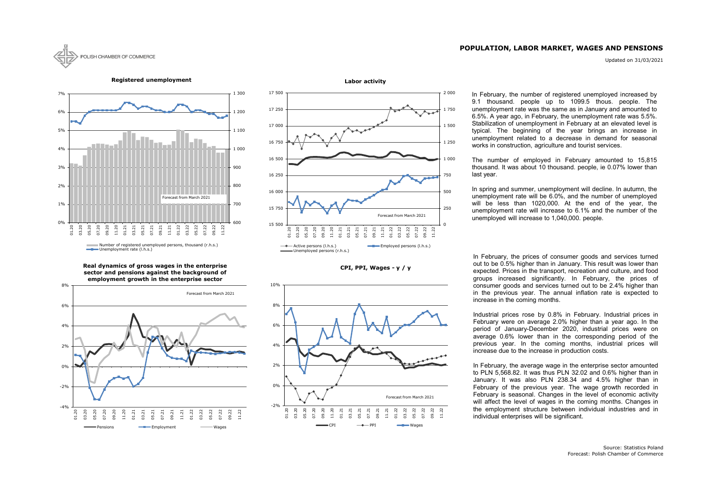# **POPULATION, LABOR MARKET, WAGES AND PENSIONS**

Updated on 31/03/2021









**Real dynamics of gross wages in the enterprise sector and pensions against the background of employment growth in the enterprise sector**





In February, the number of registered unemployed increased by 9.1 thousand. people up to 1099.5 thous. people. The unemployment rate was the same as in January and amounted to 6.5%. A year ago, in February, the unemployment rate was 5.5%. Stabilization of unemployment in February at an elevated level is typical. The beginning of the year brings an increase in unemployment related to a decrease in demand for seasonal works in construction, agriculture and tourist services.

In February, the prices of consumer goods and services turned out to be 0.5% higher than in January. This result was lower than expected. Prices in the transport, recreation and culture, and food groups increased significantly. In February, the prices of consumer goods and services turned out to be 2.4% higher than in the previous year. The annual inflation rate is expected to increase in the coming months.

Industrial prices rose by 0.8% in February. Industrial prices in February were on average 2.0% higher than a year ago. In the period of January-December 2020, industrial prices were on average 0.6% lower than in the corresponding period of the previous year. In the coming months, industrial prices will increase due to the increase in production costs.

In February, the average wage in the enterprise sector amounted to PLN 5,568.82. It was thus PLN 32.02 and 0.6% higher than in January. It was also PLN 238.34 and 4.5% higher than in February of the previous year. The wage growth recorded in February is seasonal. Changes in the level of economic activity will affect the level of wages in the coming months. Changes in the employment structure between individual industries and in individual enterprises will be significant.

The number of employed in February amounted to 15,815 thousand. It was about 10 thousand. people, ie 0.07% lower than last year.

In spring and summer, unemployment will decline. In autumn, the unemployment rate will be 6.0%, and the number of unemployed will be less than 1020,000. At the end of the year, the unemployment rate will increase to 6.1% and the number of the unemployed will increase to 1,040,000. people.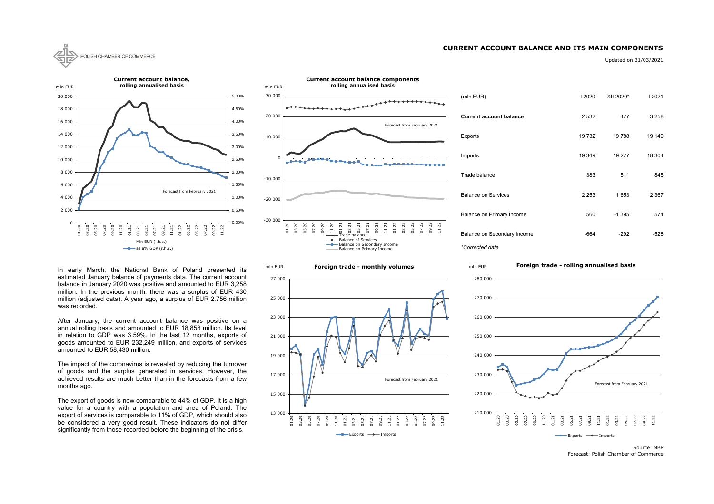### **CURRENT ACCOUNT BALANCE AND ITS MAIN COMPONENTS**



Updated on 31/03/2021

| (mln EUR)                      | 2020    | XII 2020* | 2021    |
|--------------------------------|---------|-----------|---------|
| <b>Current account balance</b> | 2 5 3 2 | 477       | 3 2 5 8 |
| Exports                        | 19732   | 19788     | 19 149  |
| Imports                        | 19 349  | 19 277    | 18 304  |
| Trade balance                  | 383     | 511       | 845     |
| <b>Balance on Services</b>     | 2 2 5 3 | 1653      | 2 3 6 7 |
| Balance on Primary Income      | 560     | -1 395    | 574     |
| Balance on Secondary Income    | -664    | $-292$    | -528    |

Source: NBP Forecast: Polish Chamber of Commerce

#### 13 000 15 000 17 000 19 000 21 000 23 000 25 000 27 000 01.20 03.20 05.20 07.20 09.20 11.20 01.21 03.21 05.21 07.21 09.21  $1.21$ 01.22 03.22 05.22 07.22 09.22 11.22  $\longrightarrow$  Exports  $\longrightarrow$  Imports Forecast from February 2021



**Foreign trade - monthly volumes**

mln EUR



### **Foreign trade - rolling annualised basis**

The export of goods is now comparable to 44% of GDP. It is a high value for a country with a population and area of Poland. The export of services is comparable to 11% of GDP, which should also be considered a very good result. These indicators do not differ significantly from those recorded before the beginning of the crisis.



In early March, the National Bank of Poland presented its estimated January balance of payments data. The current account balance in January 2020 was positive and amounted to EUR 3,258 million. In the previous month, there was a surplus of EUR 430 million (adjusted data). A year ago, a surplus of EUR 2,756 million was recorded.

After January, the current account balance was positive on a annual rolling basis and amounted to EUR 18,858 million. Its level in relation to GDP was 3.59%. In the last 12 months, exports of goods amounted to EUR 232,249 million, and exports of services amounted to EUR 58,430 million.

The impact of the coronavirus is revealed by reducing the turnover of goods and the surplus generated in services. However, the achieved results are much better than in the forecasts from a few months ago.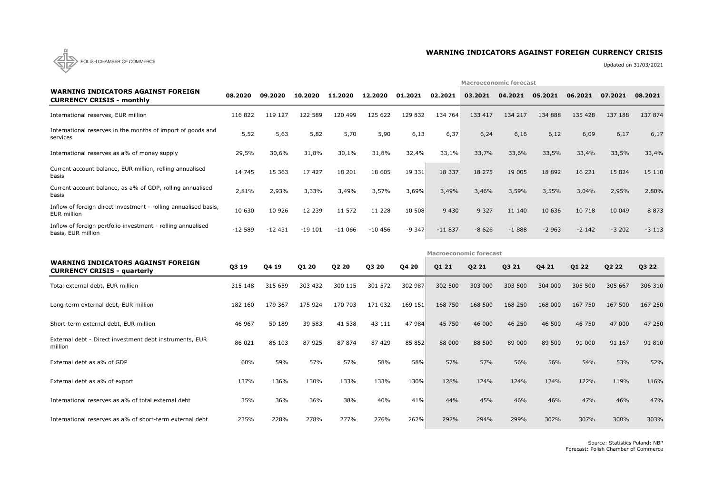

# **WARNING INDICATORS AGAINST FOREIGN CURRENCY CRISIS**

Updated on 31/03/2021

|                                                                                   |          |          |          | <b>Macroeconomic forecast</b> |          |         |          |                               |         |          |         |         |         |  |
|-----------------------------------------------------------------------------------|----------|----------|----------|-------------------------------|----------|---------|----------|-------------------------------|---------|----------|---------|---------|---------|--|
| <b>WARNING INDICATORS AGAINST FOREIGN</b><br><b>CURRENCY CRISIS - monthly</b>     | 08.2020  | 09.2020  | 10.2020  | 11,2020                       | 12.2020  | 01.2021 | 02.2021  | 03.2021                       | 04.2021 | 05.2021  | 06.2021 | 07.2021 | 08.2021 |  |
| International reserves, EUR million                                               | 116 822  | 119 127  | 122 589  | 120 499                       | 125 622  | 129 832 | 134 764  | 133 417                       | 134 217 | 134 888  | 135 428 | 137 188 | 137 874 |  |
| International reserves in the months of import of goods and<br>services           | 5,52     | 5,63     | 5,82     | 5,70                          | 5,90     | 6,13    | 6,37     | 6,24                          | 6,16    | 6,12     | 6,09    | 6,17    | 6,17    |  |
| International reserves as a% of money supply                                      | 29,5%    | 30,6%    | 31,8%    | 30,1%                         | 31,8%    | 32,4%   | 33,1%    | 33,7%                         | 33,6%   | 33,5%    | 33,4%   | 33,5%   | 33,4%   |  |
| Current account balance, EUR million, rolling annualised<br>basis                 | 14 745   | 15 3 63  | 17 427   | 18 201                        | 18 605   | 19 331  | 18 3 3 7 | 18 275                        | 19 005  | 18 8 9 2 | 16 221  | 15 8 24 | 15 110  |  |
| Current account balance, as a% of GDP, rolling annualised<br>basis                | 2,81%    | 2,93%    | 3,33%    | 3,49%                         | 3,57%    | 3,69%   | 3,49%    | 3,46%                         | 3,59%   | 3,55%    | 3,04%   | 2,95%   | 2,80%   |  |
| Inflow of foreign direct investment - rolling annualised basis,<br>EUR million    | 10 630   | 10 9 26  | 12 239   | 11 572                        | 11 228   | 10 508  | 9 4 3 0  | 9 3 2 7                       | 11 140  | 10 636   | 10 718  | 10 049  | 8 8 7 3 |  |
| Inflow of foreign portfolio investment - rolling annualised<br>basis, EUR million | $-12589$ | $-12431$ | $-19101$ | $-11066$                      | $-10456$ | $-9347$ | $-11837$ | $-8626$                       | $-1888$ | $-2963$  | $-2142$ | $-3202$ | $-3113$ |  |
|                                                                                   |          |          |          |                               |          |         |          | <b>Macroeconomic forecast</b> |         |          |         |         |         |  |
| <b>WARNING INDICATORS AGAINST FOREIGN</b><br><b>CURRENCY CRISIS - quarterly</b>   | Q3 19    | Q4 19    | Q1 20    | Q2 20                         | Q3 20    | Q4 20   | Q1 21    | Q2 21                         | Q3 21   | Q4 21    | Q1 22   | Q2 22   | Q3 22   |  |
| Total external debt, EUR million                                                  | 315 148  | 315 659  | 303 432  | 300 115                       | 301 572  | 302 987 | 302 500  | 303 000                       | 303 500 | 304 000  | 305 500 | 305 667 | 306 310 |  |
| Long-term external debt, EUR million                                              | 182 160  | 179 367  | 175 924  | 170 703                       | 171 032  | 169 151 | 168 750  | 168 500                       | 168 250 | 168 000  | 167 750 | 167 500 | 167 250 |  |
| Short-term external debt, EUR million                                             | 46 967   | 50 189   | 39 583   | 41 538                        | 43 111   | 47 984  | 45 750   | 46 000                        | 46 250  | 46 500   | 46 750  | 47 000  | 47 250  |  |

| <b>WARNING INDICATORS AGAINST FOREIGN</b><br><b>CURRENCY CRISIS - quarterly</b> | Q3 19   | Q4 19   | Q1 20   | Q2 20   | Q3 20   | Q4 20   | Q1 21   | Q2 21   | Q3 21   | Q4 21   | Q1 22   | Q2 22   | Q3 22   |
|---------------------------------------------------------------------------------|---------|---------|---------|---------|---------|---------|---------|---------|---------|---------|---------|---------|---------|
| Total external debt, EUR million                                                | 315 148 | 315 659 | 303 432 | 300 115 | 301 572 | 302 987 | 302 500 | 303 000 | 303 500 | 304 000 | 305 500 | 305 667 | 306 310 |
| Long-term external debt, EUR million                                            | 182 160 | 179 367 | 175 924 | 170 703 | 171 032 | 169 151 | 168 750 | 168 500 | 168 250 | 168 000 | 167 750 | 167 500 | 167 250 |
| Short-term external debt, EUR million                                           | 46 967  | 50 189  | 39 583  | 41 538  | 43 111  | 47 984  | 45 750  | 46 000  | 46 250  | 46 500  | 46 750  | 47 000  | 47 250  |
| External debt - Direct investment debt instruments, EUR<br>million              | 86 021  | 86 103  | 87 925  | 87 874  | 87 429  | 85 852  | 88 000  | 88 500  | 89 000  | 89 500  | 91 000  | 91 167  | 91 810  |
| External debt as a% of GDP                                                      | 60%     | 59%     | 57%     | 57%     | 58%     | 58%     | 57%     | 57%     | 56%     | 56%     | 54%     | 53%     | 52%     |
| External debt as a% of export                                                   | 137%    | 136%    | 130%    | 133%    | 133%    | 130%    | 128%    | 124%    | 124%    | 124%    | 122%    | 119%    | 116%    |
| International reserves as a% of total external debt                             | 35%     | 36%     | 36%     | 38%     | 40%     | 41%     | 44%     | 45%     | 46%     | 46%     | 47%     | 46%     | 47%     |
| International reserves as a% of short-term external debt                        | 235%    | 228%    | 278%    | 277%    | 276%    | 262%    | 292%    | 294%    | 299%    | 302%    | 307%    | 300%    | 303%    |

Source: Statistics Poland; NBP Forecast: Polish Chamber of Commerce